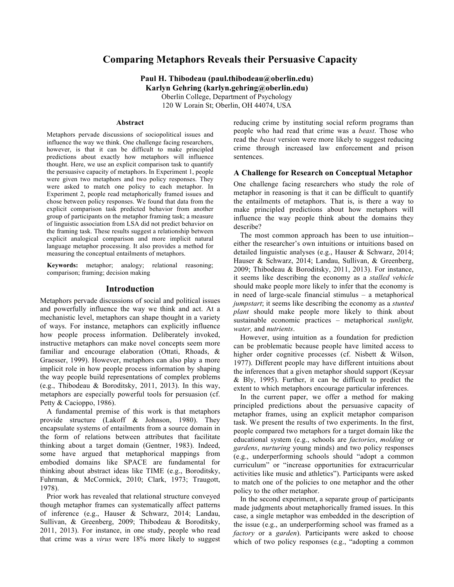# **Comparing Metaphors Reveals their Persuasive Capacity**

**Paul H. Thibodeau (paul.thibodeau@oberlin.edu) Karlyn Gehring (karlyn.gehring@oberlin.edu)**

> Oberlin College, Department of Psychology 120 W Lorain St; Oberlin, OH 44074, USA

#### **Abstract**

Metaphors pervade discussions of sociopolitical issues and influence the way we think. One challenge facing researchers, however, is that it can be difficult to make principled predictions about exactly how metaphors will influence thought. Here, we use an explicit comparison task to quantify the persuasive capacity of metaphors. In Experiment 1, people were given two metaphors and two policy responses. They were asked to match one policy to each metaphor. In Experiment 2, people read metaphorically framed issues and chose between policy responses. We found that data from the explicit comparison task predicted behavior from another group of participants on the metaphor framing task; a measure of linguistic association from LSA did not predict behavior on the framing task. These results suggest a relationship between explicit analogical comparison and more implicit natural language metaphor processing. It also provides a method for measuring the conceptual entailments of metaphors.

**Keywords:** metaphor; analogy; relational reasoning; comparison; framing; decision making

# **Introduction**

Metaphors pervade discussions of social and political issues and powerfully influence the way we think and act. At a mechanistic level, metaphors can shape thought in a variety of ways. For instance, metaphors can explicitly influence how people process information. Deliberately invoked, instructive metaphors can make novel concepts seem more familiar and encourage elaboration (Ottati, Rhoads, & Graesser, 1999). However, metaphors can also play a more implicit role in how people process information by shaping the way people build representations of complex problems (e.g., Thibodeau & Boroditsky, 2011, 2013). In this way, metaphors are especially powerful tools for persuasion (cf. Petty & Cacioppo, 1986).

A fundamental premise of this work is that metaphors provide structure (Lakoff & Johnson, 1980). They encapsulate systems of entailments from a source domain in the form of relations between attributes that facilitate thinking about a target domain (Gentner, 1983). Indeed, some have argued that metaphorical mappings from embodied domains like SPACE are fundamental for thinking about abstract ideas like TIME (e.g., Boroditsky, Fuhrman, & McCormick, 2010; Clark, 1973; Traugott, 1978).

Prior work has revealed that relational structure conveyed though metaphor frames can systematically affect patterns of inference (e.g., Hauser & Schwarz, 2014; Landau, Sullivan, & Greenberg, 2009; Thibodeau & Boroditsky, 2011, 2013). For instance, in one study, people who read that crime was a *virus* were 18% more likely to suggest reducing crime by instituting social reform programs than people who had read that crime was a *beast*. Those who read the *beast* version were more likely to suggest reducing crime through increased law enforcement and prison sentences.

### **A Challenge for Research on Conceptual Metaphor**

One challenge facing researchers who study the role of metaphor in reasoning is that it can be difficult to quantify the entailments of metaphors. That is, is there a way to make principled predictions about how metaphors will influence the way people think about the domains they describe?

The most common approach has been to use intuition- either the researcher's own intuitions or intuitions based on detailed linguistic analyses (e.g., Hauser & Schwarz, 2014; Hauser & Schwarz, 2014; Landau, Sullivan, & Greenberg, 2009; Thibodeau & Boroditsky, 2011, 2013). For instance, it seems like describing the economy as a *stalled vehicle* should make people more likely to infer that the economy is in need of large-scale financial stimulus – a metaphorical *jumpstart*; it seems like describing the economy as a *stunted plant* should make people more likely to think about sustainable economic practices – metaphorical *sunlight, water,* and *nutrients*.

However, using intuition as a foundation for prediction can be problematic because people have limited access to higher order cognitive processes (cf. Nisbett & Wilson, 1977). Different people may have different intuitions about the inferences that a given metaphor should support (Keysar & Bly, 1995). Further, it can be difficult to predict the extent to which metaphors encourage particular inferences.

In the current paper, we offer a method for making principled predictions about the persuasive capacity of metaphor frames, using an explicit metaphor comparison task. We present the results of two experiments. In the first, people compared two metaphors for a target domain like the educational system (e.g., schools are *factories*, *molding* or *gardens*, *nurturing* young minds) and two policy responses (e.g., underperforming schools should "adopt a common curriculum" or "increase opportunities for extracurricular activities like music and athletics"). Participants were asked to match one of the policies to one metaphor and the other policy to the other metaphor.

In the second experiment, a separate group of participants made judgments about metaphorically framed issues. In this case, a single metaphor was embedded in the description of the issue (e.g., an underperforming school was framed as a *factory* or a *garden*). Participants were asked to choose which of two policy responses (e.g., "adopting a common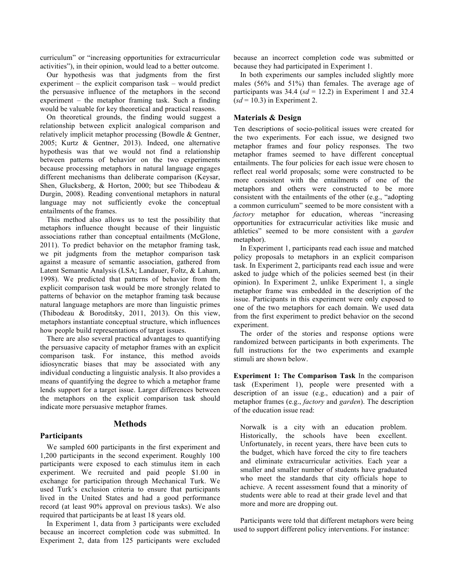curriculum" or "increasing opportunities for extracurricular activities"), in their opinion, would lead to a better outcome.

Our hypothesis was that judgments from the first experiment – the explicit comparison task – would predict the persuasive influence of the metaphors in the second experiment – the metaphor framing task. Such a finding would be valuable for key theoretical and practical reasons.

On theoretical grounds, the finding would suggest a relationship between explicit analogical comparison and relatively implicit metaphor processing (Bowdle & Gentner, 2005; Kurtz & Gentner, 2013). Indeed, one alternative hypothesis was that we would not find a relationship between patterns of behavior on the two experiments because processing metaphors in natural language engages different mechanisms than deliberate comparison (Keysar, Shen, Glucksberg, & Horton, 2000; but see Thibodeau & Durgin, 2008). Reading conventional metaphors in natural language may not sufficiently evoke the conceptual entailments of the frames.

This method also allows us to test the possibility that metaphors influence thought because of their linguistic associations rather than conceptual entailments (McGlone, 2011). To predict behavior on the metaphor framing task, we pit judgments from the metaphor comparison task against a measure of semantic association, gathered from Latent Semantic Analysis (LSA; Landauer, Foltz, & Laham, 1998). We predicted that patterns of behavior from the explicit comparison task would be more strongly related to patterns of behavior on the metaphor framing task because natural language metaphors are more than linguistic primes (Thibodeau & Boroditsky, 2011, 2013). On this view, metaphors instantiate conceptual structure, which influences how people build representations of target issues.

There are also several practical advantages to quantifying the persuasive capacity of metaphor frames with an explicit comparison task. For instance, this method avoids idiosyncratic biases that may be associated with any individual conducting a linguistic analysis. It also provides a means of quantifying the degree to which a metaphor frame lends support for a target issue. Larger differences between the metaphors on the explicit comparison task should indicate more persuasive metaphor frames.

## **Methods**

### **Participants**

We sampled 600 participants in the first experiment and 1,200 participants in the second experiment. Roughly 100 participants were exposed to each stimulus item in each experiment. We recruited and paid people \$1.00 in exchange for participation through Mechanical Turk. We used Turk's exclusion criteria to ensure that participants lived in the United States and had a good performance record (at least 90% approval on previous tasks). We also required that participants be at least 18 years old.

In Experiment 1, data from 3 participants were excluded because an incorrect completion code was submitted. In Experiment 2, data from 125 participants were excluded

because an incorrect completion code was submitted or because they had participated in Experiment 1.

In both experiments our samples included slightly more males (56% and 51%) than females. The average age of participants was  $34.4$  ( $sd = 12.2$ ) in Experiment 1 and  $32.4$  $(sd = 10.3)$  in Experiment 2.

# **Materials & Design**

Ten descriptions of socio-political issues were created for the two experiments. For each issue, we designed two metaphor frames and four policy responses. The two metaphor frames seemed to have different conceptual entailments. The four policies for each issue were chosen to reflect real world proposals; some were constructed to be more consistent with the entailments of one of the metaphors and others were constructed to be more consistent with the entailments of the other (e.g., "adopting a common curriculum" seemed to be more consistent with a *factory* metaphor for education, whereas "increasing opportunities for extracurricular activities like music and athletics" seemed to be more consistent with a *garden* metaphor).

In Experiment 1, participants read each issue and matched policy proposals to metaphors in an explicit comparison task. In Experiment 2, participants read each issue and were asked to judge which of the policies seemed best (in their opinion). In Experiment 2, unlike Experiment 1, a single metaphor frame was embedded in the description of the issue. Participants in this experiment were only exposed to one of the two metaphors for each domain. We used data from the first experiment to predict behavior on the second experiment.

The order of the stories and response options were randomized between participants in both experiments. The full instructions for the two experiments and example stimuli are shown below.

**Experiment 1: The Comparison Task** In the comparison task (Experiment 1), people were presented with a description of an issue (e.g., education) and a pair of metaphor frames (e.g., *factory* and *garden*). The description of the education issue read:

Norwalk is a city with an education problem. Historically, the schools have been excellent. Unfortunately, in recent years, there have been cuts to the budget, which have forced the city to fire teachers and eliminate extracurricular activities. Each year a smaller and smaller number of students have graduated who meet the standards that city officials hope to achieve. A recent assessment found that a minority of students were able to read at their grade level and that more and more are dropping out.

Participants were told that different metaphors were being used to support different policy interventions. For instance: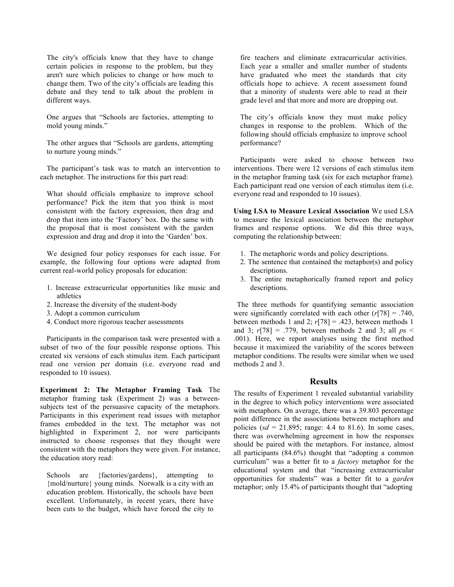The city's officials know that they have to change certain policies in response to the problem, but they aren't sure which policies to change or how much to change them. Two of the city's officials are leading this debate and they tend to talk about the problem in different ways.

One argues that "Schools are factories, attempting to mold young minds."

The other argues that "Schools are gardens, attempting to nurture young minds."

The participant's task was to match an intervention to each metaphor. The instructions for this part read:

What should officials emphasize to improve school performance? Pick the item that you think is most consistent with the factory expression, then drag and drop that item into the 'Factory' box. Do the same with the proposal that is most consistent with the garden expression and drag and drop it into the 'Garden' box.

We designed four policy responses for each issue. For example, the following four options were adapted from current real-world policy proposals for education:

- 1. Increase extracurricular opportunities like music and athletics
- 2. Increase the diversity of the student-body
- 3. Adopt a common curriculum
- 4. Conduct more rigorous teacher assessments

Participants in the comparison task were presented with a subset of two of the four possible response options. This created six versions of each stimulus item. Each participant read one version per domain (i.e. everyone read and responded to 10 issues).

**Experiment 2: The Metaphor Framing Task** The metaphor framing task (Experiment 2) was a betweensubjects test of the persuasive capacity of the metaphors. Participants in this experiment read issues with metaphor frames embedded in the text. The metaphor was not highlighted in Experiment 2, nor were participants instructed to choose responses that they thought were consistent with the metaphors they were given. For instance, the education story read:

Schools are {factories/gardens}, attempting to {mold/nurture} young minds. Norwalk is a city with an education problem. Historically, the schools have been excellent. Unfortunately, in recent years, there have been cuts to the budget, which have forced the city to fire teachers and eliminate extracurricular activities. Each year a smaller and smaller number of students have graduated who meet the standards that city officials hope to achieve. A recent assessment found that a minority of students were able to read at their grade level and that more and more are dropping out.

The city's officials know they must make policy changes in response to the problem. Which of the following should officials emphasize to improve school performance?

Participants were asked to choose between two interventions. There were 12 versions of each stimulus item in the metaphor framing task (six for each metaphor frame). Each participant read one version of each stimulus item (i.e. everyone read and responded to 10 issues).

**Using LSA to Measure Lexical Association** We used LSA to measure the lexical association between the metaphor frames and response options. We did this three ways, computing the relationship between:

- 1. The metaphoric words and policy descriptions.
- 2. The sentence that contained the metaphor(s) and policy descriptions.
- 3. The entire metaphorically framed report and policy descriptions.

The three methods for quantifying semantic association were significantly correlated with each other (*r*[78] = .740, between methods 1 and 2;  $r[78] = .423$ , between methods 1 and 3;  $r[78] = .779$ , between methods 2 and 3; all  $ps <$ .001). Here, we report analyses using the first method because it maximized the variability of the scores between metaphor conditions. The results were similar when we used methods 2 and 3.

# **Results**

The results of Experiment 1 revealed substantial variability in the degree to which policy interventions were associated with metaphors. On average, there was a 39.803 percentage point difference in the associations between metaphors and policies ( $sd = 21.895$ ; range: 4.4 to 81.6). In some cases, there was overwhelming agreement in how the responses should be paired with the metaphors. For instance, almost all participants (84.6%) thought that "adopting a common curriculum" was a better fit to a *factory* metaphor for the educational system and that "increasing extracurricular opportunities for students" was a better fit to a *garden* metaphor; only 15.4% of participants thought that "adopting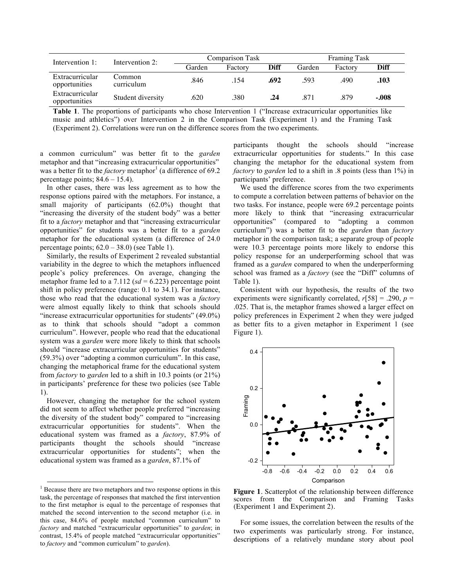| Intervention 1:                  | Intervention 2:      | Comparison Task |         |             | <b>Framing Task</b> |         |         |
|----------------------------------|----------------------|-----------------|---------|-------------|---------------------|---------|---------|
|                                  |                      | Garden          | Factory | <b>Diff</b> | Garden              | Factory | Diff    |
| Extracurricular<br>opportunities | Common<br>curriculum | .846            | .154    | .692        | .593                | .490    | .103    |
| Extracurricular<br>opportunities | Student diversity    | .620            | .380    | .24         | .871                | .879    | $-.008$ |

**Table 1**. The proportions of participants who chose Intervention 1 ("Increase extracurricular opportunities like music and athletics") over Intervention 2 in the Comparison Task (Experiment 1) and the Framing Task (Experiment 2). Correlations were run on the difference scores from the two experiments.

a common curriculum" was better fit to the *garden* metaphor and that "increasing extracurricular opportunities" was a better fit to the *factory* metaphor<sup>1</sup> (a difference of 69.2) percentage points;  $84.6 - 15.4$ ).

In other cases, there was less agreement as to how the response options paired with the metaphors. For instance, a small majority of participants (62.0%) thought that "increasing the diversity of the student body" was a better fit to a *factory* metaphor and that "increasing extracurricular opportunities" for students was a better fit to a *garden* metaphor for the educational system (a difference of 24.0 percentage points;  $62.0 - 38.0$ ) (see Table 1).

Similarly, the results of Experiment 2 revealed substantial variability in the degree to which the metaphors influenced people's policy preferences. On average, changing the metaphor frame led to a 7.112 ( $sd = 6.223$ ) percentage point shift in policy preference (range: 0.1 to 34.1). For instance, those who read that the educational system was a *factory* were almost equally likely to think that schools should "increase extracurricular opportunities for students" (49.0%) as to think that schools should "adopt a common curriculum". However, people who read that the educational system was a *garden* were more likely to think that schools should "increase extracurricular opportunities for students" (59.3%) over "adopting a common curriculum". In this case, changing the metaphorical frame for the educational system from *factory* to *garden* led to a shift in 10.3 points (or 21%) in participants' preference for these two policies (see Table 1).

However, changing the metaphor for the school system did not seem to affect whether people preferred "increasing the diversity of the student body" compared to "increasing extracurricular opportunities for students". When the educational system was framed as a *factory*, 87.9% of participants thought the schools should "increase extracurricular opportunities for students"; when the educational system was framed as a *garden*, 87.1% of

participants thought the schools should "increase extracurricular opportunities for students." In this case changing the metaphor for the educational system from *factory* to *garden* led to a shift in .8 points (less than 1%) in participants' preference.

We used the difference scores from the two experiments to compute a correlation between patterns of behavior on the two tasks. For instance, people were 69.2 percentage points more likely to think that "increasing extracurricular opportunities" (compared to "adopting a common curriculum") was a better fit to the *garden* than *factory*  metaphor in the comparison task; a separate group of people were 10.3 percentage points more likely to endorse this policy response for an underperforming school that was framed as a *garden* compared to when the underperforming school was framed as a *factory* (see the "Diff" columns of Table 1).

Consistent with our hypothesis, the results of the two experiments were significantly correlated,  $r[58] = .290$ ,  $p =$ .025. That is, the metaphor frames showed a larger effect on policy preferences in Experiment 2 when they were judged as better fits to a given metaphor in Experiment 1 (see Figure 1).



**Figure 1**. Scatterplot of the relationship between difference scores from the Comparison and Framing Tasks (Experiment 1 and Experiment 2).

For some issues, the correlation between the results of the two experiments was particularly strong. For instance, descriptions of a relatively mundane story about pool

<sup>&</sup>lt;sup>1</sup> Because there are two metaphors and two response options in this task, the percentage of responses that matched the first intervention to the first metaphor is equal to the percentage of responses that matched the second intervention to the second metaphor (i.e. in this case, 84.6% of people matched "common curriculum" to *factory* and matched "extracurricular opportunities" to *garden*; in contrast, 15.4% of people matched "extracurricular opportunities" to *factory* and "common curriculum" to *garden*).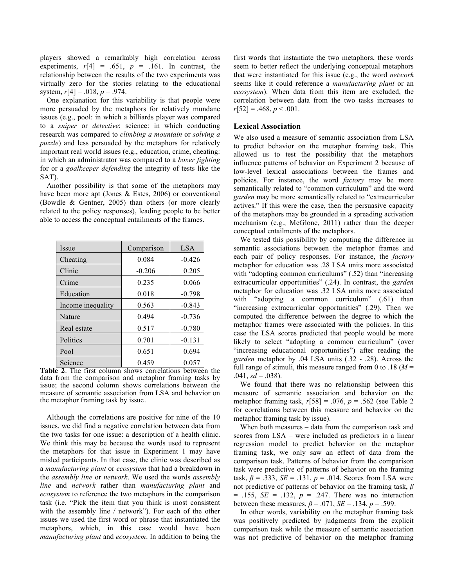players showed a remarkably high correlation across experiments,  $r[4] = .651$ ,  $p = .161$ . In contrast, the relationship between the results of the two experiments was virtually zero for the stories relating to the educational system,  $r[4] = .018$ ,  $p = .974$ .

One explanation for this variability is that people were more persuaded by the metaphors for relatively mundane issues (e.g., pool: in which a billiards player was compared to a *sniper* or *detective*; science: in which conducting research was compared to *climbing a mountain* or *solving a puzzle*) and less persuaded by the metaphors for relatively important real world issues (e.g., education, crime, cheating: in which an administrator was compared to a *boxer fighting* for or a *goalkeeper defending* the integrity of tests like the SAT).

Another possibility is that some of the metaphors may have been more apt (Jones & Estes, 2006) or conventional (Bowdle & Gentner, 2005) than others (or more clearly related to the policy responses), leading people to be better able to access the conceptual entailments of the frames.

| Issue             | Comparison | <b>LSA</b> |
|-------------------|------------|------------|
| Cheating          | 0.084      | $-0.426$   |
| Clinic            | $-0.206$   | 0.205      |
| Crime             | 0.235      | 0.066      |
| Education         | 0.018      | $-0.798$   |
| Income inequality | 0.563      | $-0.843$   |
| Nature            | 0.494      | $-0.736$   |
| Real estate       | 0.517      | $-0.780$   |
| Politics          | 0.701      | $-0.131$   |
| Pool              | 0.651      | 0.694      |
| Science           | 0.459      | 0.057      |

**Table 2**. The first column shows correlations between the data from the comparison and metaphor framing tasks by issue; the second column shows correlations between the measure of semantic association from LSA and behavior on the metaphor framing task by issue.

Although the correlations are positive for nine of the 10 issues, we did find a negative correlation between data from the two tasks for one issue: a description of a health clinic. We think this may be because the words used to represent the metaphors for that issue in Experiment 1 may have misled participants. In that case, the clinic was described as a *manufacturing plant* or *ecosystem* that had a breakdown in the *assembly line* or *network*. We used the words *assembly line* and *network* rather than *manufacturing plant* and *ecosystem* to reference the two metaphors in the comparison task (i.e. "Pick the item that you think is most consistent with the assembly line / network"). For each of the other issues we used the first word or phrase that instantiated the metaphors, which, in this case would have been *manufacturing plant* and *ecosystem*. In addition to being the first words that instantiate the two metaphors, these words seem to better reflect the underlying conceptual metaphors that were instantiated for this issue (e.g., the word *network* seems like it could reference a *manufacturing plant* or an *ecosystem*). When data from this item are excluded, the correlation between data from the two tasks increases to  $r[52] = .468, p < .001.$ 

## **Lexical Association**

We also used a measure of semantic association from LSA to predict behavior on the metaphor framing task. This allowed us to test the possibility that the metaphors influence patterns of behavior on Experiment 2 because of low-level lexical associations between the frames and policies. For instance, the word *factory* may be more semantically related to "common curriculum" and the word *garden* may be more semantically related to "extracurricular actives." If this were the case, then the persuasive capacity of the metaphors may be grounded in a spreading activation mechanism (e.g., McGlone, 2011) rather than the deeper conceptual entailments of the metaphors.

We tested this possibility by computing the difference in semantic associations between the metaphor frames and each pair of policy responses. For instance, the *factory* metaphor for education was .28 LSA units more associated with "adopting common curriculums" (.52) than "increasing extracurricular opportunities" (.24). In contrast, the *garden* metaphor for education was .32 LSA units more associated with "adopting a common curriculum" (.61) than "increasing extracurricular opportunities" (.29). Then we computed the difference between the degree to which the metaphor frames were associated with the policies. In this case the LSA scores predicted that people would be more likely to select "adopting a common curriculum" (over "increasing educational opportunities") after reading the *garden* metaphor by .04 LSA units (.32 - .28). Across the full range of stimuli, this measure ranged from 0 to .18  $(M =$  $.041, sd = .038$ ).

We found that there was no relationship between this measure of semantic association and behavior on the metaphor framing task, *r*[58] = .076, *p* = .562 (see Table 2 for correlations between this measure and behavior on the metaphor framing task by issue).

When both measures – data from the comparison task and scores from LSA – were included as predictors in a linear regression model to predict behavior on the metaphor framing task, we only saw an effect of data from the comparison task. Patterns of behavior from the comparison task were predictive of patterns of behavior on the framing task,  $\beta$  = .333, *SE* = .131,  $p$  = .014. Scores from LSA were not predictive of patterns of behavior on the framing task, *β*  $= .155, SE = .132, p = .247.$  There was no interaction between these measures,  $\beta = .071$ ,  $SE = .134$ ,  $p = .599$ .

In other words, variability on the metaphor framing task was positively predicted by judgments from the explicit comparison task while the measure of semantic association was not predictive of behavior on the metaphor framing